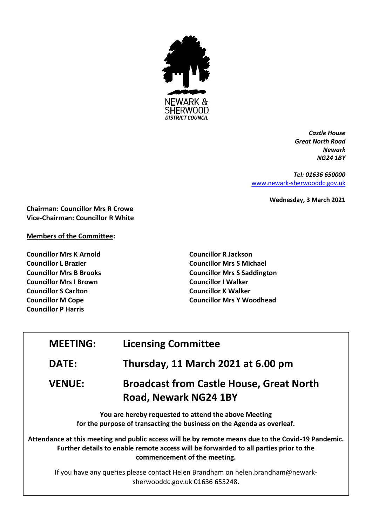

*Castle House Great North Road Newark NG24 1BY*

*Tel: 01636 650000* [www.newark-sherwooddc.gov.uk](http://www.newark-sherwooddc.gov.uk/)

**Wednesday, 3 March 2021**

**Chairman: Councillor Mrs R Crowe Vice-Chairman: Councillor R White**

# **Members of the Committee:**

**Councillor Mrs K Arnold Councillor L Brazier Councillor Mrs B Brooks Councillor Mrs I Brown Councillor S Carlton Councillor M Cope Councillor P Harris**

**Councillor R Jackson Councillor Mrs S Michael Councillor Mrs S Saddington Councillor I Walker Councillor K Walker Councillor Mrs Y Woodhead**

| <b>MEETING:</b> | <b>Licensing Committee</b>                                                                                                                                                                                          |
|-----------------|---------------------------------------------------------------------------------------------------------------------------------------------------------------------------------------------------------------------|
| <b>DATE:</b>    | Thursday, 11 March 2021 at 6.00 pm                                                                                                                                                                                  |
| <b>VENUE:</b>   | <b>Broadcast from Castle House, Great North</b><br><b>Road, Newark NG24 1BY</b>                                                                                                                                     |
|                 | You are hereby requested to attend the above Meeting<br>for the purpose of transacting the business on the Agenda as overleaf.                                                                                      |
|                 | Attendance at this meeting and public access will be by remote means due to the Covid-19 Pandemic.<br>rando de la contra de la contra de la contra de la contra de la contra de la contra de la contra de la contra |

**Further details to enable remote access will be forwarded to all parties prior to the commencement of the meeting.**

If you have any queries please contact Helen Brandham on helen.brandham@newarksherwooddc.gov.uk 01636 655248.